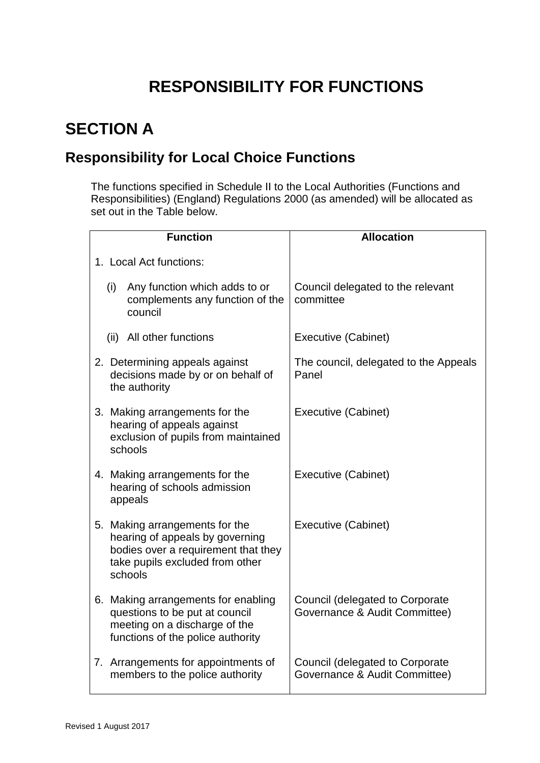## **RESPONSIBILITY FOR FUNCTIONS**

## **SECTION A**

## **Responsibility for Local Choice Functions**

The functions specified in Schedule II to the Local Authorities (Functions and Responsibilities) (England) Regulations 2000 (as amended) will be allocated as set out in the Table below.

| <b>Function</b>                                                                                                                                        | <b>Allocation</b>                                                |  |
|--------------------------------------------------------------------------------------------------------------------------------------------------------|------------------------------------------------------------------|--|
| 1. Local Act functions:                                                                                                                                |                                                                  |  |
| (i)<br>Any function which adds to or<br>complements any function of the<br>council                                                                     | Council delegated to the relevant<br>committee                   |  |
| (ii) All other functions                                                                                                                               | <b>Executive (Cabinet)</b>                                       |  |
| 2. Determining appeals against<br>decisions made by or on behalf of<br>the authority                                                                   | The council, delegated to the Appeals<br>Panel                   |  |
| 3. Making arrangements for the<br>hearing of appeals against<br>exclusion of pupils from maintained<br>schools                                         | Executive (Cabinet)                                              |  |
| 4. Making arrangements for the<br>hearing of schools admission<br>appeals                                                                              | Executive (Cabinet)                                              |  |
| 5. Making arrangements for the<br>hearing of appeals by governing<br>bodies over a requirement that they<br>take pupils excluded from other<br>schools | Executive (Cabinet)                                              |  |
| 6. Making arrangements for enabling<br>questions to be put at council<br>meeting on a discharge of the<br>functions of the police authority            | Council (delegated to Corporate<br>Governance & Audit Committee) |  |
| 7. Arrangements for appointments of<br>members to the police authority                                                                                 | Council (delegated to Corporate<br>Governance & Audit Committee) |  |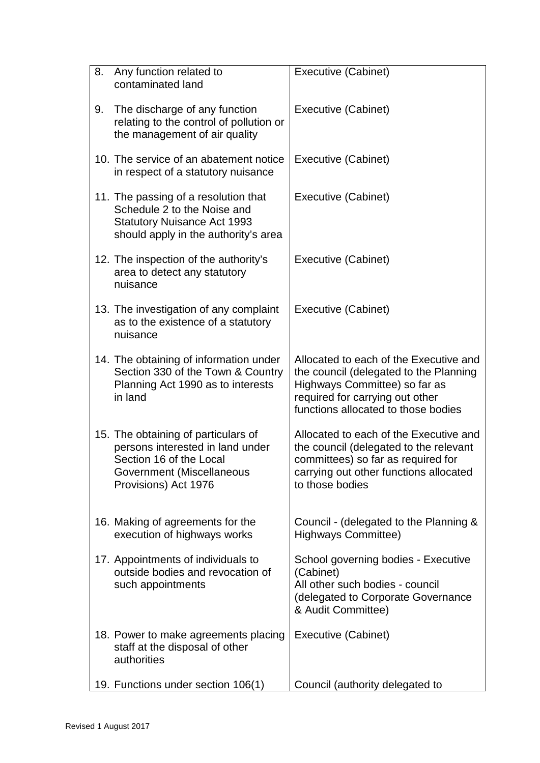| 8. | Any function related to<br>contaminated land                                                                                                            | Executive (Cabinet)                                                                                                                                                                         |
|----|---------------------------------------------------------------------------------------------------------------------------------------------------------|---------------------------------------------------------------------------------------------------------------------------------------------------------------------------------------------|
| 9. | The discharge of any function<br>relating to the control of pollution or<br>the management of air quality                                               | Executive (Cabinet)                                                                                                                                                                         |
|    | 10. The service of an abatement notice<br>in respect of a statutory nuisance                                                                            | Executive (Cabinet)                                                                                                                                                                         |
|    | 11. The passing of a resolution that<br>Schedule 2 to the Noise and<br><b>Statutory Nuisance Act 1993</b><br>should apply in the authority's area       | Executive (Cabinet)                                                                                                                                                                         |
|    | 12. The inspection of the authority's<br>area to detect any statutory<br>nuisance                                                                       | Executive (Cabinet)                                                                                                                                                                         |
|    | 13. The investigation of any complaint<br>as to the existence of a statutory<br>nuisance                                                                | Executive (Cabinet)                                                                                                                                                                         |
|    | 14. The obtaining of information under<br>Section 330 of the Town & Country<br>Planning Act 1990 as to interests<br>in land                             | Allocated to each of the Executive and<br>the council (delegated to the Planning<br>Highways Committee) so far as<br>required for carrying out other<br>functions allocated to those bodies |
|    | 15. The obtaining of particulars of<br>persons interested in land under<br>Section 16 of the Local<br>Government (Miscellaneous<br>Provisions) Act 1976 | Allocated to each of the Executive and<br>the council (delegated to the relevant<br>committees) so far as required for<br>carrying out other functions allocated<br>to those bodies         |
|    | 16. Making of agreements for the<br>execution of highways works                                                                                         | Council - (delegated to the Planning &<br>Highways Committee)                                                                                                                               |
|    | 17. Appointments of individuals to<br>outside bodies and revocation of<br>such appointments                                                             | School governing bodies - Executive<br>(Cabinet)<br>All other such bodies - council<br>(delegated to Corporate Governance<br>& Audit Committee)                                             |
|    | 18. Power to make agreements placing<br>staff at the disposal of other<br>authorities                                                                   | Executive (Cabinet)                                                                                                                                                                         |
|    | 19. Functions under section 106(1)                                                                                                                      | Council (authority delegated to                                                                                                                                                             |